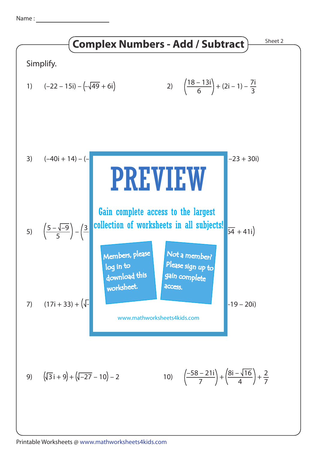